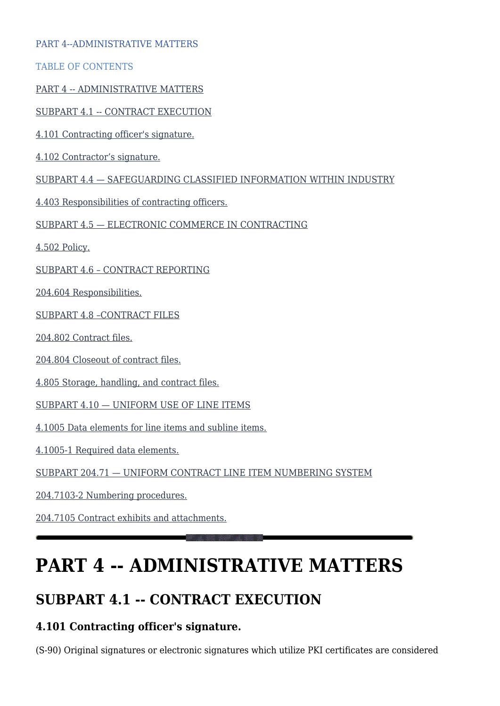#### PART 4--ADMINISTRATIVE MATTERS

TABLE OF CONTENTS

[PART 4 -- ADMINISTRATIVE MATTERS](#page--1-0)

[SUBPART 4.1 -- CONTRACT EXECUTION](#page--1-0)

[4.101 Contracting officer's signature.](#page--1-0)

[4.102 Contractor's signature.](#page--1-0)

[SUBPART 4.4 — SAFEGUARDING CLASSIFIED INFORMATION WITHIN INDUSTRY](#page--1-0)

[4.403 Responsibilities of contracting officers.](#page--1-0)

[SUBPART 4.5 — ELECTRONIC COMMERCE IN CONTRACTING](#page--1-0)

[4.502 Policy.](#page--1-0)

[SUBPART 4.6 – CONTRACT REPORTING](#page--1-0)

[204.604 Responsibilities.](#page--1-0)

[SUBPART 4.8 –CONTRACT FILES](#page--1-0)

[204.802 Contract files.](#page--1-0)

[204.804 Closeout of contract files.](#page--1-0)

[4.805 Storage, handling, and contract files.](#page--1-0)

[SUBPART 4.10 — UNIFORM USE OF LINE ITEMS](#page--1-0)

[4.1005 Data elements for line items and subline items.](#page--1-0)

[4.1005-1 Required data elements.](#page--1-0)

[SUBPART 204.71 — UNIFORM CONTRACT LINE ITEM NUMBERING SYSTEM](#page--1-0)

[204.7103-2 Numbering procedures.](#page--1-0)

[204.7105 Contract exhibits and attachments.](#page--1-0)

# **PART 4 -- ADMINISTRATIVE MATTERS**

### **SUBPART 4.1 -- CONTRACT EXECUTION**

#### **4.101 Contracting officer's signature.**

(S-90) Original signatures or electronic signatures which utilize PKI certificates are considered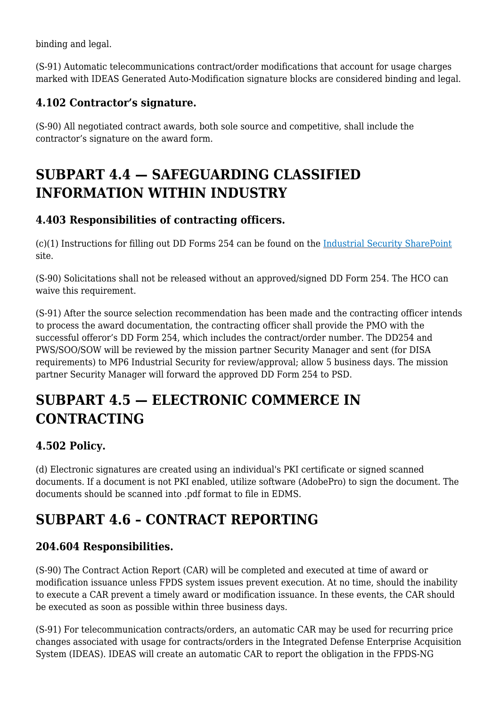binding and legal.

(S-91) Automatic telecommunications contract/order modifications that account for usage charges marked with IDEAS Generated Auto-Modification signature blocks are considered binding and legal.

#### **4.102 Contractor's signature.**

(S-90) All negotiated contract awards, both sole source and competitive, shall include the contractor's signature on the award form.

### **SUBPART 4.4 — SAFEGUARDING CLASSIFIED INFORMATION WITHIN INDUSTRY**

### **4.403 Responsibilities of contracting officers.**

(c)(1) Instructions for filling out DD Forms 254 can be found on the [Industrial Security SharePoint](https://disa.deps.mil/ORG/MP6/mp61/industrialsecurity/Shared%20Documents/Forms/AllItems.aspx) site.

(S-90) Solicitations shall not be released without an approved/signed DD Form 254. The HCO can waive this requirement.

(S-91) After the source selection recommendation has been made and the contracting officer intends to process the award documentation, the contracting officer shall provide the PMO with the successful offeror's DD Form 254, which includes the contract/order number. The DD254 and PWS/SOO/SOW will be reviewed by the mission partner Security Manager and sent (for DISA requirements) to MP6 Industrial Security for review/approval; allow 5 business days. The mission partner Security Manager will forward the approved DD Form 254 to PSD.

# **SUBPART 4.5 — ELECTRONIC COMMERCE IN CONTRACTING**

### **4.502 Policy.**

(d) Electronic signatures are created using an individual's PKI certificate or signed scanned documents. If a document is not PKI enabled, utilize software (AdobePro) to sign the document. The documents should be scanned into .pdf format to file in EDMS.

# **SUBPART 4.6 – CONTRACT REPORTING**

### **204.604 Responsibilities.**

(S-90) The Contract Action Report (CAR) will be completed and executed at time of award or modification issuance unless FPDS system issues prevent execution. At no time, should the inability to execute a CAR prevent a timely award or modification issuance. In these events, the CAR should be executed as soon as possible within three business days.

(S-91) For telecommunication contracts/orders, an automatic CAR may be used for recurring price changes associated with usage for contracts/orders in the Integrated Defense Enterprise Acquisition System (IDEAS). IDEAS will create an automatic CAR to report the obligation in the FPDS-NG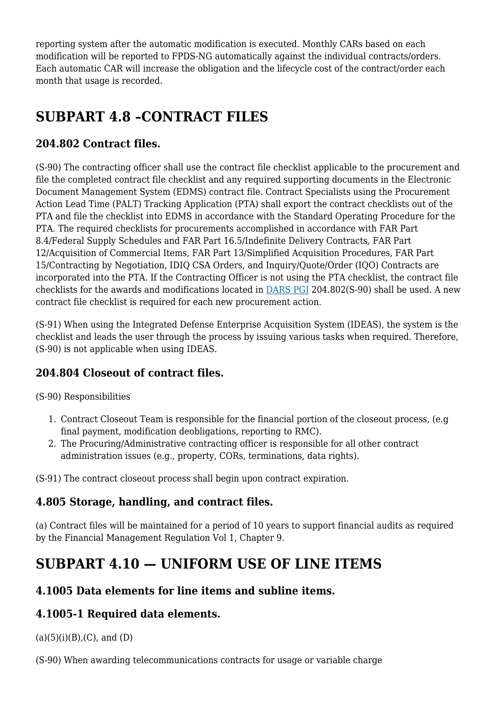reporting system after the automatic modification is executed. Monthly CARs based on each modification will be reported to FPDS-NG automatically against the individual contracts/orders. Each automatic CAR will increase the obligation and the lifecycle cost of the contract/order each month that usage is recorded.

# **SUBPART 4.8 –CONTRACT FILES**

#### **204.802 Contract files.**

(S-90) The contracting officer shall use the contract file checklist applicable to the procurement and file the completed contract file checklist and any required supporting documents in the Electronic Document Management System (EDMS) contract file. Contract Specialists using the Procurement Action Lead Time (PALT) Tracking Application (PTA) shall export the contract checklists out of the PTA and file the checklist into EDMS in accordance with the Standard Operating Procedure for the PTA. The required checklists for procurements accomplished in accordance with FAR Part 8.4/Federal Supply Schedules and FAR Part 16.5/Indefinite Delivery Contracts, FAR Part 12/Acquisition of Commercial Items, FAR Part 13/Simplified Acquisition Procedures, FAR Part 15/Contracting by Negotiation, IDIQ CSA Orders, and Inquiry/Quote/Order (IQO) Contracts are incorporated into the PTA. If the Contracting Officer is not using the PTA checklist, the contract file checklists for the awards and modifications located in [DARS PGI](https://disa.deps.mil/org/PL2/Pages/DITCORefs.aspx) 204.802(S-90) shall be used. A new contract file checklist is required for each new procurement action.

(S-91) When using the Integrated Defense Enterprise Acquisition System (IDEAS), the system is the checklist and leads the user through the process by issuing various tasks when required. Therefore, (S-90) is not applicable when using IDEAS.

### **204.804 Closeout of contract files.**

#### (S-90) Responsibilities

- 1. Contract Closeout Team is responsible for the financial portion of the closeout process, (e.g final payment, modification deobligations, reporting to RMC).
- 2. The Procuring/Administrative contracting officer is responsible for all other contract administration issues (e.g., property, CORs, terminations, data rights).

(S-91) The contract closeout process shall begin upon contract expiration.

### **4.805 Storage, handling, and contract files.**

(a) Contract files will be maintained for a period of 10 years to support financial audits as required by the Financial Management Regulation Vol 1, Chapter 9.

### **SUBPART 4.10 — UNIFORM USE OF LINE ITEMS**

#### **4.1005 Data elements for line items and subline items.**

#### **4.1005-1 Required data elements.**

 $(a)(5)(i)(B)$ ,  $(C)$ , and  $(D)$ 

(S-90) When awarding telecommunications contracts for usage or variable charge